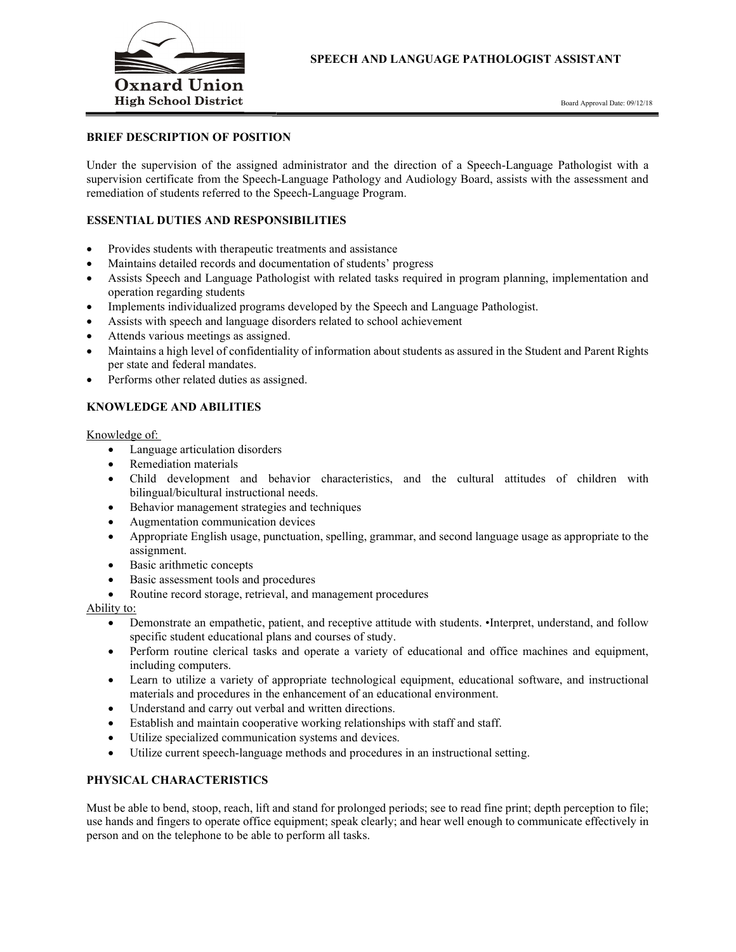

#### BRIEF DESCRIPTION OF POSITION

Under the supervision of the assigned administrator and the direction of a Speech-Language Pathologist with a supervision certificate from the Speech-Language Pathology and Audiology Board, assists with the assessment and remediation of students referred to the Speech-Language Program.

#### ESSENTIAL DUTIES AND RESPONSIBILITIES

- Provides students with therapeutic treatments and assistance
- Maintains detailed records and documentation of students' progress
- Assists Speech and Language Pathologist with related tasks required in program planning, implementation and operation regarding students
- Implements individualized programs developed by the Speech and Language Pathologist.
- Assists with speech and language disorders related to school achievement
- Attends various meetings as assigned.
- Maintains a high level of confidentiality of information about students as assured in the Student and Parent Rights per state and federal mandates.
- Performs other related duties as assigned.

### KNOWLEDGE AND ABILITIES

Knowledge of:

- Language articulation disorders
- Remediation materials
- Child development and behavior characteristics, and the cultural attitudes of children with bilingual/bicultural instructional needs.
- Behavior management strategies and techniques
- Augmentation communication devices
- Appropriate English usage, punctuation, spelling, grammar, and second language usage as appropriate to the assignment.
- Basic arithmetic concepts
- Basic assessment tools and procedures
- Routine record storage, retrieval, and management procedures

Ability to:

- Demonstrate an empathetic, patient, and receptive attitude with students. •Interpret, understand, and follow specific student educational plans and courses of study.
- Perform routine clerical tasks and operate a variety of educational and office machines and equipment, including computers.
- Learn to utilize a variety of appropriate technological equipment, educational software, and instructional materials and procedures in the enhancement of an educational environment.
- Understand and carry out verbal and written directions.
- Establish and maintain cooperative working relationships with staff and staff.
- Utilize specialized communication systems and devices.
- Utilize current speech-language methods and procedures in an instructional setting.

#### PHYSICAL CHARACTERISTICS

Must be able to bend, stoop, reach, lift and stand for prolonged periods; see to read fine print; depth perception to file; use hands and fingers to operate office equipment; speak clearly; and hear well enough to communicate effectively in person and on the telephone to be able to perform all tasks.